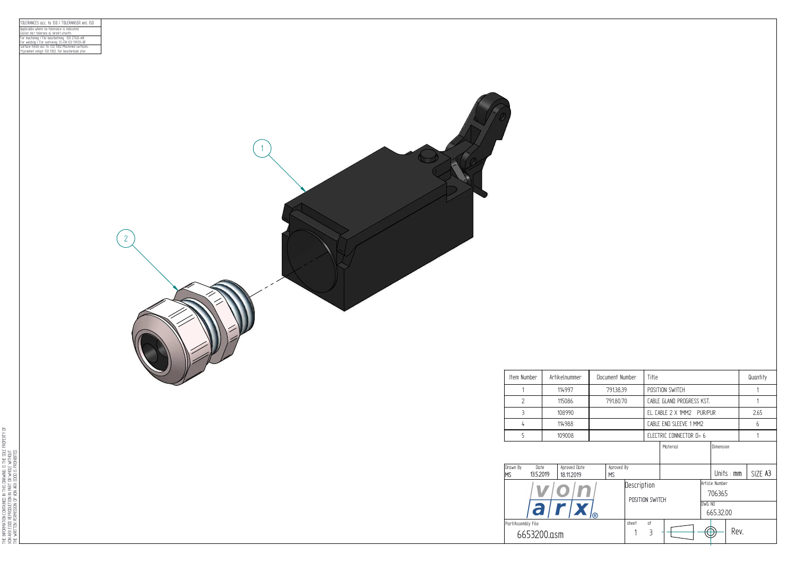

| Number<br>Artikelnummer |        | Document Number            |          |                         | Title                          |                            |              |  |                                                 |                  | Quantity |      |
|-------------------------|--------|----------------------------|----------|-------------------------|--------------------------------|----------------------------|--------------|--|-------------------------------------------------|------------------|----------|------|
| 1                       | 114997 |                            | 79138.39 |                         |                                | POSITION SWITCH            |              |  |                                                 |                  |          |      |
| $\overline{c}$          | 115086 |                            | 79180.70 |                         |                                | CABLE GLAND PROGRESS KST.  |              |  |                                                 |                  |          |      |
| 3                       | 108990 |                            |          |                         |                                | EL. CABLE 2 X 1MM2 PUR/PUR |              |  |                                                 |                  |          | 2.65 |
| 4                       | 114988 |                            |          |                         |                                | CABLE END SLEEVE 1 MM2     |              |  |                                                 |                  |          | 6    |
| 5                       |        | 109008                     |          |                         |                                | ELECTRIC CONNECTOR D= 6    |              |  |                                                 |                  |          |      |
|                         |        |                            |          |                         |                                |                            | Material     |  |                                                 | <b>Dimension</b> |          |      |
| Date<br>13.5.2019       |        | Aproved Date<br>18.11.2019 |          | Aproved By<br><b>MS</b> |                                |                            | Units $:$ mm |  |                                                 | SIZE A3          |          |      |
| $a$ $r$ $\mid$ x $\mid$ |        |                            |          |                         | Description<br>POSITION SWITCH |                            |              |  | Article Number<br>706365<br>DWG NO<br>665.32.00 |                  |          |      |
| mbly File<br>653200.asm |        |                            |          |                         | sheet                          | 0f<br>ξ                    |              |  |                                                 |                  | Rev.     |      |

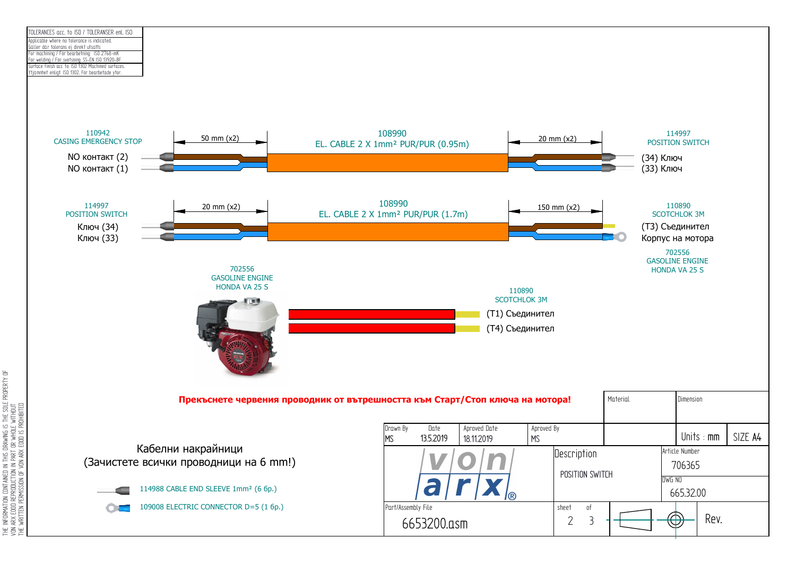